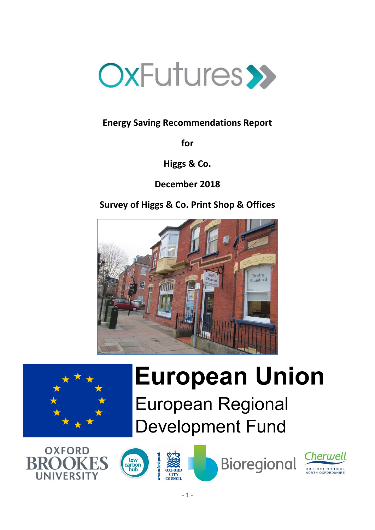

# **Energy Saving Recommendations Report**

**for**

**Higgs & Co.**

**December 2018**

**Survey of Higgs & Co. Print Shop & Offices**





# **European Union European Regional Development Fund**

**OXFORD UNIVERSITY** 



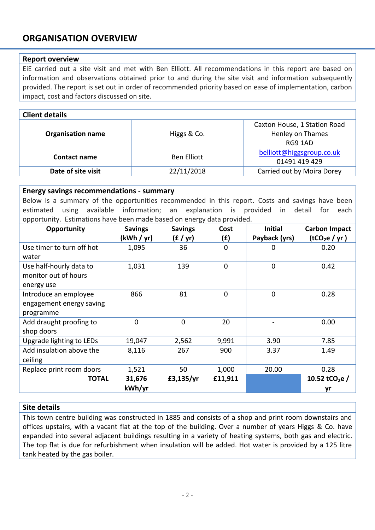# **ORGANISATION OVERVIEW**

#### **Report overview**

EiE carried out a site visit and met with Ben Elliott. All recommendations in this report are based on information and observations obtained prior to and during the site visit and information subsequently provided. The report is set out in order of recommended priority based on ease of implementation, carbon impact, cost and factors discussed on site.

| <b>Client details</b>    |                    |                                                             |  |
|--------------------------|--------------------|-------------------------------------------------------------|--|
| <b>Organisation name</b> | Higgs & Co.        | Caxton House, 1 Station Road<br>Henley on Thames<br>RG9 1AD |  |
| Contact name             | <b>Ben Elliott</b> | belliott@higgsgroup.co.uk<br>01491 419 429                  |  |
| Date of site visit       | 22/11/2018         | Carried out by Moira Dorey                                  |  |

#### **Energy savings recommendations - summary**

Below is a summary of the opportunities recommended in this report. Costs and savings have been estimated using available information; an explanation is provided in detail for each opportunity. Estimations have been made based on energy data provided.

| Opportunity               | <b>Savings</b> | <b>Savings</b> | Cost         | <b>Initial</b> | <b>Carbon Impact</b><br>(tCO <sub>2</sub> e / yr) |
|---------------------------|----------------|----------------|--------------|----------------|---------------------------------------------------|
|                           | (kWh / yr)     | (f / yr)       | (£)          | Payback (yrs)  |                                                   |
| Use timer to turn off hot | 1,095          | 36             | $\Omega$     | 0              | 0.20                                              |
| water                     |                |                |              |                |                                                   |
| Use half-hourly data to   | 1,031          | 139            | $\mathbf{0}$ | $\mathbf 0$    | 0.42                                              |
| monitor out of hours      |                |                |              |                |                                                   |
| energy use                |                |                |              |                |                                                   |
| Introduce an employee     | 866            | 81             | $\mathbf 0$  | $\overline{0}$ | 0.28                                              |
| engagement energy saving  |                |                |              |                |                                                   |
| programme                 |                |                |              |                |                                                   |
| Add draught proofing to   | $\Omega$       | 0              | 20           |                | 0.00                                              |
| shop doors                |                |                |              |                |                                                   |
| Upgrade lighting to LEDs  | 19,047         | 2,562          | 9,991        | 3.90           | 7.85                                              |
| Add insulation above the  | 8,116          | 267            | 900          | 3.37           | 1.49                                              |
| ceiling                   |                |                |              |                |                                                   |
| Replace print room doors  | 1,521          | 50             | 1,000        | 20.00          | 0.28                                              |
| <b>TOTAL</b>              | 31,676         | f3,135/yr      | £11,911      |                | 10.52 tCO <sub>2</sub> e /                        |
|                           | kWh/yr         |                |              |                | yr                                                |

#### **Site details**

This town centre building was constructed in 1885 and consists of a shop and print room downstairs and offices upstairs, with a vacant flat at the top of the building. Over a number of years Higgs & Co. have expanded into several adjacent buildings resulting in a variety of heating systems, both gas and electric. The top flat is due for refurbishment when insulation will be added. Hot water is provided by a 125 litre tank heated by the gas boiler.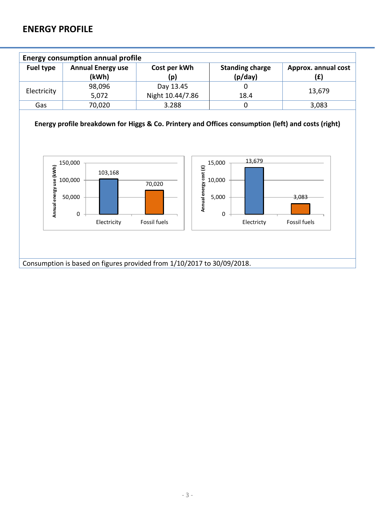# **ENERGY PROFILE**

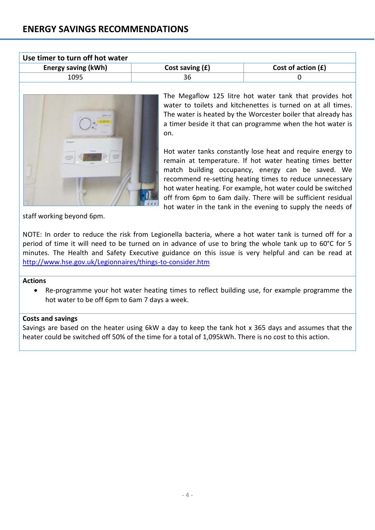| Use timer to turn off hot water |                   |                      |  |
|---------------------------------|-------------------|----------------------|--|
| <b>Energy saving (kWh)</b>      | Cost saving $(f)$ | Cost of action $(f)$ |  |
| 1095                            | 36                |                      |  |



The Megaflow 125 litre hot water tank that provides hot water to toilets and kitchenettes is turned on at all times. The water is heated by the Worcester boiler that already has a timer beside it that can programme when the hot water is on.

Hot water tanks constantly lose heat and require energy to remain at temperature. If hot water heating times better match building occupancy, energy can be saved. We recommend re-setting heating times to reduce unnecessary hot water heating. For example, hot water could be switched off from 6pm to 6am daily. There will be sufficient residual hot water in the tank in the evening to supply the needs of

staff working beyond 6pm.

NOTE: In order to reduce the risk from Legionella bacteria, where a hot water tank is turned off for a period of time it will need to be turned on in advance of use to bring the whole tank up to 60°C for 5 minutes. The Health and Safety Executive guidance on this issue is very helpful and can be read at <http://www.hse.gov.uk/Legionnaires/things-to-consider.htm>

# **Actions**

 Re-programme your hot water heating times to reflect building use, for example programme the hot water to be off 6pm to 6am 7 days a week.

# **Costs and savings**

Savings are based on the heater using 6kW a day to keep the tank hot x 365 days and assumes that the heater could be switched off 50% of the time for a total of 1,095kWh. There is no cost to this action.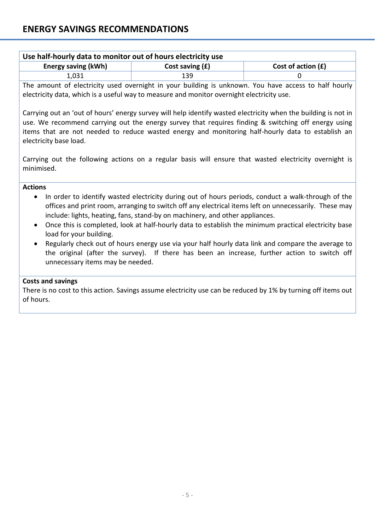# **Use half-hourly data to monitor out of hours electricity use**

| <b>Energy saving (kWh)</b> | Cost saving $(f)$ | Cost of action $(f)$ |
|----------------------------|-------------------|----------------------|
|                            |                   |                      |

The amount of electricity used overnight in your building is unknown. You have access to half hourly electricity data, which is a useful way to measure and monitor overnight electricity use.

Carrying out an 'out of hours' energy survey will help identify wasted electricity when the building is not in use. We recommend carrying out the energy survey that requires finding & switching off energy using items that are not needed to reduce wasted energy and monitoring half-hourly data to establish an electricity base load.

Carrying out the following actions on a regular basis will ensure that wasted electricity overnight is minimised.

#### **Actions**

- In order to identify wasted electricity during out of hours periods, conduct a walk-through of the offices and print room, arranging to switch off any electrical items left on unnecessarily. These may include: lights, heating, fans, stand-by on machinery, and other appliances.
- Once this is completed, look at half-hourly data to establish the minimum practical electricity base load for your building.
- Regularly check out of hours energy use via your half hourly data link and compare the average to the original (after the survey). If there has been an increase, further action to switch off unnecessary items may be needed.

# **Costs and savings**

There is no cost to this action. Savings assume electricity use can be reduced by 1% by turning off items out of hours.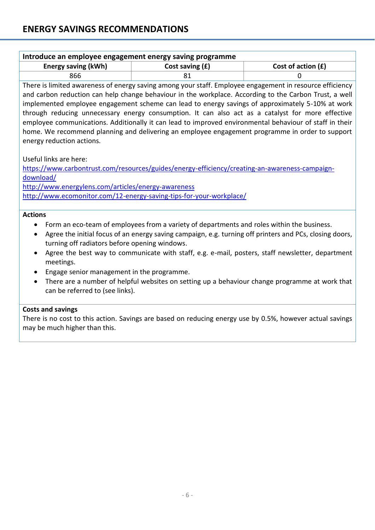| Introduce an employee engagement energy saving programme |                   |                      |  |
|----------------------------------------------------------|-------------------|----------------------|--|
| <b>Energy saving (kWh)</b>                               | Cost saving $(f)$ | Cost of action $(f)$ |  |
| 866                                                      |                   |                      |  |
|                                                          |                   | $ -$                 |  |

There is limited awareness of energy saving among your staff. Employee engagement in resource efficiency and carbon reduction can help change behaviour in the workplace. According to the Carbon Trust, a well implemented employee engagement scheme can lead to energy savings of approximately 5-10% at work through reducing unnecessary energy consumption. It can also act as a catalyst for more effective employee communications. Additionally it can lead to improved environmental behaviour of staff in their home. We recommend planning and delivering an employee engagement programme in order to support energy reduction actions.

Useful links are here:

[https://www.carbontrust.com/resources/guides/energy-efficiency/creating-an-awareness-campaign](https://www.carbontrust.com/resources/guides/energy-efficiency/creating-an-awareness-campaign-download/)[download/](https://www.carbontrust.com/resources/guides/energy-efficiency/creating-an-awareness-campaign-download/) <http://www.energylens.com/articles/energy-awareness>

<http://www.ecomonitor.com/12-energy-saving-tips-for-your-workplace/>

# **Actions**

- Form an eco-team of employees from a variety of departments and roles within the business.
- Agree the initial focus of an energy saving campaign, e.g. turning off printers and PCs, closing doors, turning off radiators before opening windows.
- Agree the best way to communicate with staff, e.g. e-mail, posters, staff newsletter, department meetings.
- Engage senior management in the programme.
- There are a number of helpful websites on setting up a behaviour change programme at work that can be referred to (see links).

# **Costs and savings**

There is no cost to this action. Savings are based on reducing energy use by 0.5%, however actual savings may be much higher than this.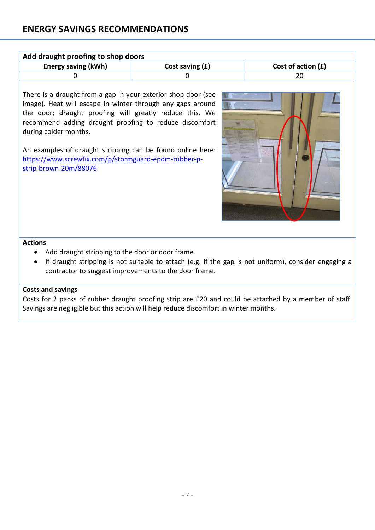| Add draught proofing to shop doors |                   |                      |  |
|------------------------------------|-------------------|----------------------|--|
| <b>Energy saving (kWh)</b>         | Cost saving $(f)$ | Cost of action $(E)$ |  |
|                                    |                   |                      |  |
|                                    |                   |                      |  |

There is a draught from a gap in your exterior shop door (see image). Heat will escape in winter through any gaps around the door; draught proofing will greatly reduce this. We recommend adding draught proofing to reduce discomfort during colder months.

An examples of draught stripping can be found online here: [https://www.screwfix.com/p/stormguard-epdm-rubber-p](https://www.screwfix.com/p/stormguard-epdm-rubber-p-strip-brown-20m/88076)[strip-brown-20m/88076](https://www.screwfix.com/p/stormguard-epdm-rubber-p-strip-brown-20m/88076)



#### **Actions**

- Add draught stripping to the door or door frame.
- If draught stripping is not suitable to attach (e.g. if the gap is not uniform), consider engaging a contractor to suggest improvements to the door frame.

# **Costs and savings**

Costs for 2 packs of rubber draught proofing strip are £20 and could be attached by a member of staff. Savings are negligible but this action will help reduce discomfort in winter months.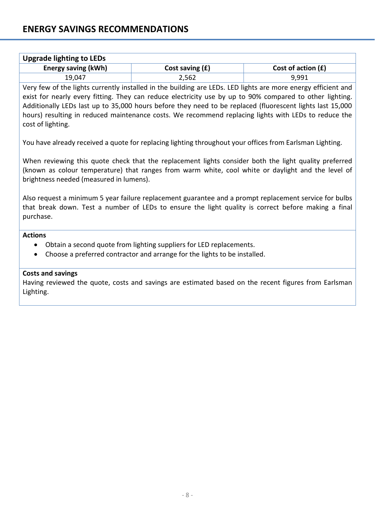| <b>Upgrade lighting to LEDs</b> |                   |                      |  |
|---------------------------------|-------------------|----------------------|--|
| Energy saving (kWh)             | Cost saving $(f)$ | Cost of action $(E)$ |  |
| 19,047                          | 2,562             | 9,991                |  |

Very few of the lights currently installed in the building are LEDs. LED lights are more energy efficient and exist for nearly every fitting. They can reduce electricity use by up to 90% compared to other lighting. Additionally LEDs last up to 35,000 hours before they need to be replaced (fluorescent lights last 15,000 hours) resulting in reduced maintenance costs. We recommend replacing lights with LEDs to reduce the cost of lighting.

You have already received a quote for replacing lighting throughout your offices from Earlsman Lighting.

When reviewing this quote check that the replacement lights consider both the light quality preferred (known as colour temperature) that ranges from warm white, cool white or daylight and the level of brightness needed (measured in lumens).

Also request a minimum 5 year failure replacement guarantee and a prompt replacement service for bulbs that break down. Test a number of LEDs to ensure the light quality is correct before making a final purchase.

# **Actions**

- Obtain a second quote from lighting suppliers for LED replacements.
- Choose a preferred contractor and arrange for the lights to be installed.

# **Costs and savings**

Having reviewed the quote, costs and savings are estimated based on the recent figures from Earlsman Lighting.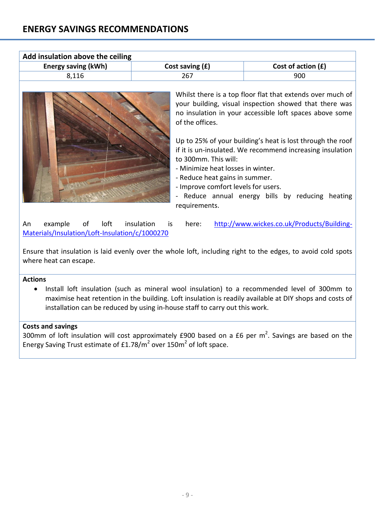| Add insulation above the ceiling |                   |                      |  |
|----------------------------------|-------------------|----------------------|--|
| <b>Energy saving (kWh)</b>       | Cost saving $(f)$ | Cost of action $(E)$ |  |
| 8,116                            | 267               | 900                  |  |



Whilst there is a top floor flat that extends over much of your building, visual inspection showed that there was no insulation in your accessible loft spaces above some of the offices.

Up to 25% of your building's heat is lost through the roof if it is un-insulated. We recommend increasing insulation to 300mm. This will:

- Minimize heat losses in winter.
- Reduce heat gains in summer.
- Improve comfort levels for users.
- Reduce annual energy bills by reducing heating requirements.

An example of loft insulation is here: [http://www.wickes.co.uk/Products/Building-](http://www.wickes.co.uk/Products/Building-Materials/Insulation/Loft-Insulation/c/1000270)[Materials/Insulation/Loft-Insulation/c/1000270](http://www.wickes.co.uk/Products/Building-Materials/Insulation/Loft-Insulation/c/1000270)

Ensure that insulation is laid evenly over the whole loft, including right to the edges, to avoid cold spots where heat can escape.

#### **Actions**

 Install loft insulation (such as mineral wool insulation) to a recommended level of 300mm to maximise heat retention in the building. Loft insulation is readily available at DIY shops and costs of installation can be reduced by using in-house staff to carry out this work.

#### **Costs and savings**

300mm of loft insulation will cost approximately £900 based on a £6 per m<sup>2</sup>. Savings are based on the Energy Saving Trust estimate of £1.78/m<sup>2</sup> over 150m<sup>2</sup> of loft space.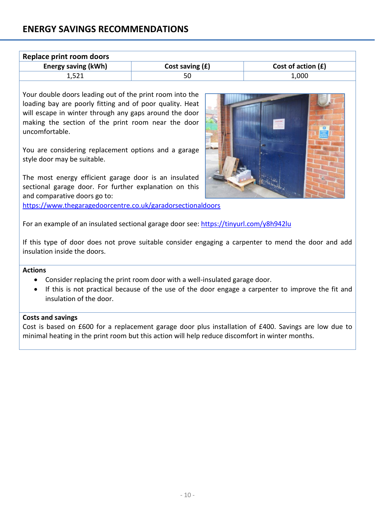# **ENERGY SAVINGS RECOMMENDATIONS**

| Replace print room doors   |                   |                      |  |
|----------------------------|-------------------|----------------------|--|
| <b>Energy saving (kWh)</b> | Cost saving $(f)$ | Cost of action $(E)$ |  |
|                            | 50                | 1,000                |  |

Your double doors leading out of the print room into the loading bay are poorly fitting and of poor quality. Heat will escape in winter through any gaps around the door making the section of the print room near the door uncomfortable.

You are considering replacement options and a garage style door may be suitable.

The most energy efficient garage door is an insulated sectional garage door. For further explanation on this and comparative doors go to:

<https://www.thegaragedoorcentre.co.uk/garadorsectionaldoors>



For an example of an insulated sectional garage door see:<https://tinyurl.com/y8h942lu>

If this type of door does not prove suitable consider engaging a carpenter to mend the door and add insulation inside the doors.

#### **Actions**

- Consider replacing the print room door with a well-insulated garage door.
- If this is not practical because of the use of the door engage a carpenter to improve the fit and insulation of the door.

#### **Costs and savings**

Cost is based on £600 for a replacement garage door plus installation of £400. Savings are low due to minimal heating in the print room but this action will help reduce discomfort in winter months.